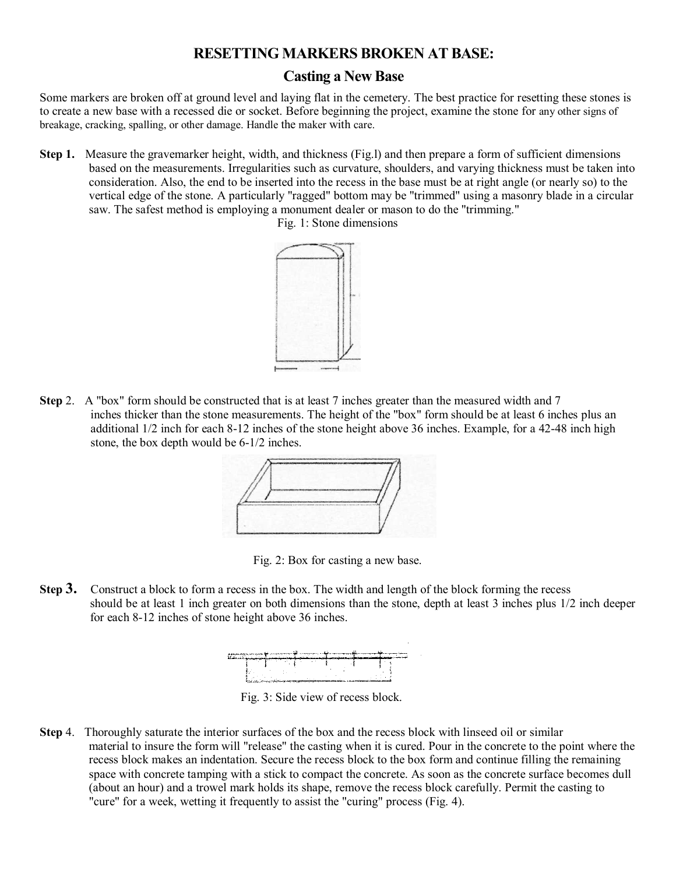# **RESETTING MARKERS BROKEN AT BASE:**

# **Casting a New Base**

Some markers are broken off at ground level and laying flat in the cemetery. The best practice for resetting these stones is to create a new base with a recessed die or socket. Before beginning the project, examine the stone for any other signs of breakage, cracking, spalling, or other damage. Handle the maker with care.

**Step 1.** Measure the gravemarker height, width, and thickness (Fig.1) and then prepare a form of sufficient dimensions based on the measurements. Irregularities such as curvature, shoulders, and varying thickness must be taken into consideration. Also, the end to be inserted into the recess in the base must be at right angle (or nearly so) to the vertical edge of the stone. A particularly "ragged" bottom may be "trimmed" using a masonry blade in a circular saw. The safest method is employing a monument dealer or mason to do the "trimming."



Fig. 1: Stone dimensions

**Step** 2. A "box" form should be constructed that is at least 7 inches greater than the measured width and 7 inches thicker than the stone measurements. The height of the "box" form should be at least 6 inches plus an additional 1/2 inch for each 8-12 inches of the stone height above 36 inches. Example, for a 42-48 inch high stone, the box depth would be 6-1/2 inches.



Fig. 2: Box for casting a new base.

**Step 3.** Construct a block to form a recess in the box. The width and length of the block forming the recess should be at least 1 inch greater on both dimensions than the stone, depth at least 3 inches plus 1/2 inch deeper for each 8-12 inches of stone height above 36 inches.



Fig. 3: Side view of recess block.

**Step** 4. Thoroughly saturate the interior surfaces of the box and the recess block with linseed oil or similar material to insure the form will "release" the casting when it is cured. Pour in the concrete to the point where the recess block makes an indentation. Secure the recess block to the box form and continue filling the remaining space with concrete tamping with a stick to compact the concrete. As soon as the concrete surface becomes dull (about an hour) and a trowel mark holds its shape, remove the recess block carefully. Permit the casting to "cure" for a week, wetting it frequently to assist the "curing" process (Fig. 4).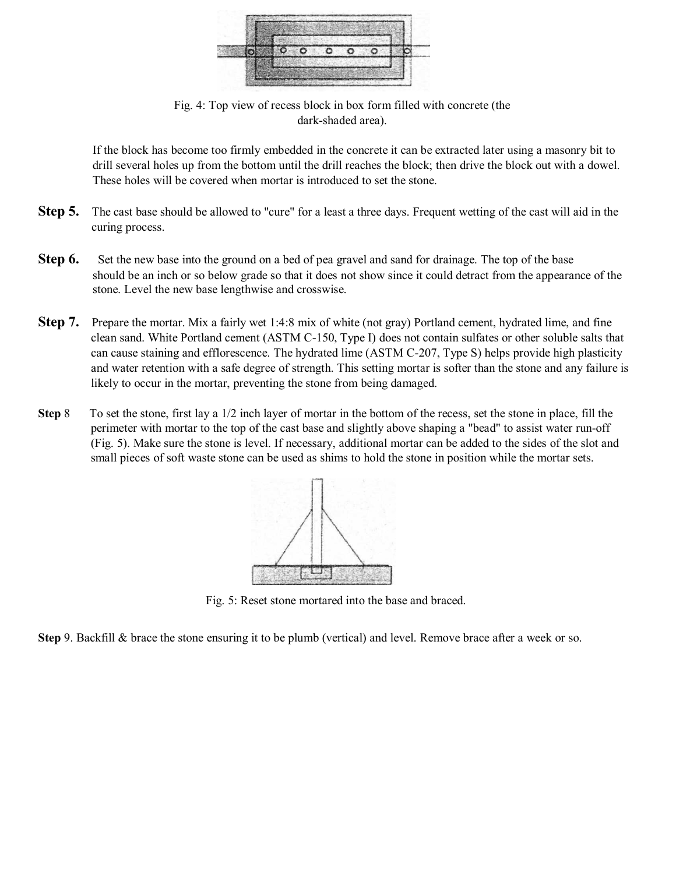

Fig. 4: Top view of recess block in box form filled with concrete (the dark-shaded area).

If the block has become too firmly embedded in the concrete it can be extracted later using a masonry bit to drill several holes up from the bottom until the drill reaches the block; then drive the block out with a dowel. These holes will be covered when mortar is introduced to set the stone.

- **Step 5.** The cast base should be allowed to "cure" for a least a three days. Frequent wetting of the cast will aid in the curing process.
- **Step 6.** Set the new base into the ground on a bed of pea gravel and sand for drainage. The top of the base should be an inch or so below grade so that it does not show since it could detract from the appearance of the stone. Level the new base lengthwise and crosswise.
- **Step 7.** Prepare the mortar. Mix a fairly wet 1:4:8 mix of white (not gray) Portland cement, hydrated lime, and fine clean sand. White Portland cement (ASTM C-150, Type I) does not contain sulfates or other soluble salts that can cause staining and efflorescence. The hydrated lime (ASTM C-207, Type S) helps provide high plasticity and water retention with a safe degree of strength. This setting mortar is softer than the stone and any failure is likely to occur in the mortar, preventing the stone from being damaged.
- **Step** 8 To set the stone, first lay a 1/2 inch layer of mortar in the bottom of the recess, set the stone in place, fill the perimeter with mortar to the top of the cast base and slightly above shaping a "bead" to assist water run-off (Fig. 5). Make sure the stone is level. If necessary, additional mortar can be added to the sides of the slot and small pieces of soft waste stone can be used as shims to hold the stone in position while the mortar sets.



Fig. 5: Reset stone mortared into the base and braced.

**Step** 9. Backfill & brace the stone ensuring it to be plumb (vertical) and level. Remove brace after a week or so.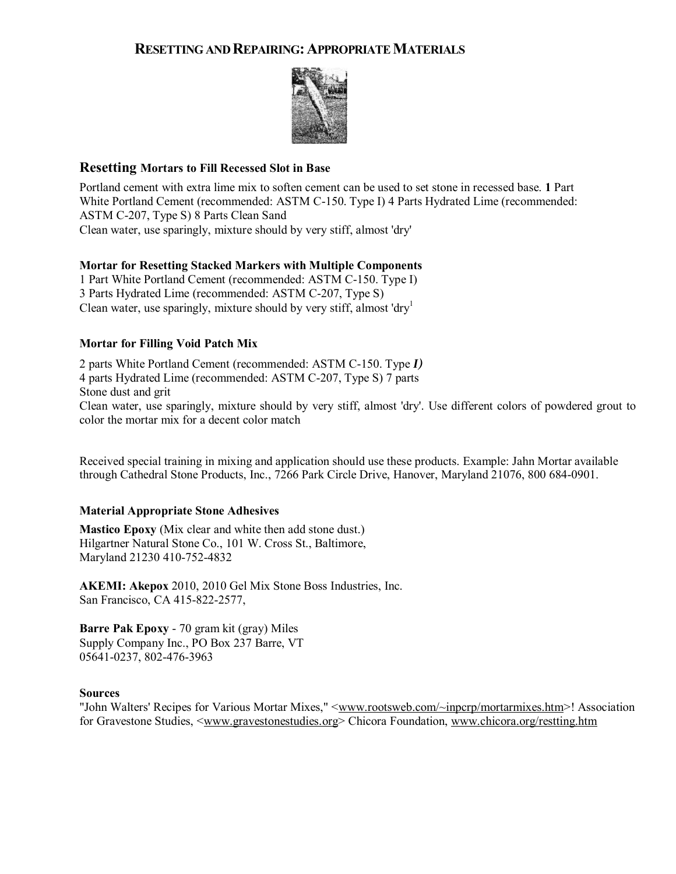# **RESETTING AND REPAIRING:APPROPRIATE MATERIALS**



### **Resetting Mortars to Fill Recessed Slot in Base**

Portland cement with extra lime mix to soften cement can be used to set stone in recessed base. **1** Part White Portland Cement (recommended: ASTM C-150. Type I) 4 Parts Hydrated Lime (recommended: ASTM C-207, Type S) 8 Parts Clean Sand Clean water, use sparingly, mixture should by very stiff, almost 'dry'

#### **Mortar for Resetting Stacked Markers with Multiple Components**

1 Part White Portland Cement (recommended: ASTM C-150. Type I) 3 Parts Hydrated Lime (recommended: ASTM C-207, Type S) Clean water, use sparingly, mixture should by very stiff, almost 'dry<sup>1</sup>

#### **Mortar for Filling Void Patch Mix**

2 parts White Portland Cement (recommended: ASTM C-150. Type *I)* 4 parts Hydrated Lime (recommended: ASTM C-207, Type S) 7 parts Stone dust and grit Clean water, use sparingly, mixture should by very stiff, almost 'dry'. Use different colors of powdered grout to color the mortar mix for a decent color match

Received special training in mixing and application should use these products. Example: Jahn Mortar available through Cathedral Stone Products, Inc., 7266 Park Circle Drive, Hanover, Maryland 21076, 800 684-0901.

#### **Material Appropriate Stone Adhesives**

**Mastico Epoxy** (Mix clear and white then add stone dust.) Hilgartner Natural Stone Co., 101 W. Cross St., Baltimore, Maryland 21230 410-752-4832

**AKEMI: Akepox** 2010, 2010 Gel Mix Stone Boss Industries, Inc. San Francisco, CA 415-822-2577,

**Barre Pak Epoxy** - 70 gram kit (gray) Miles Supply Company Inc., PO Box 237 Barre, VT 05641-0237, 802-476-3963

#### **Sources**

"John Walters' Recipes for Various Mortar Mixes," <www.rootsweb.com/~inpcrp/mortarmixes.htm>! Association for Gravestone Studies, <www.gravestonestudies.org> Chicora Foundation, www.chicora.org/restting.htm